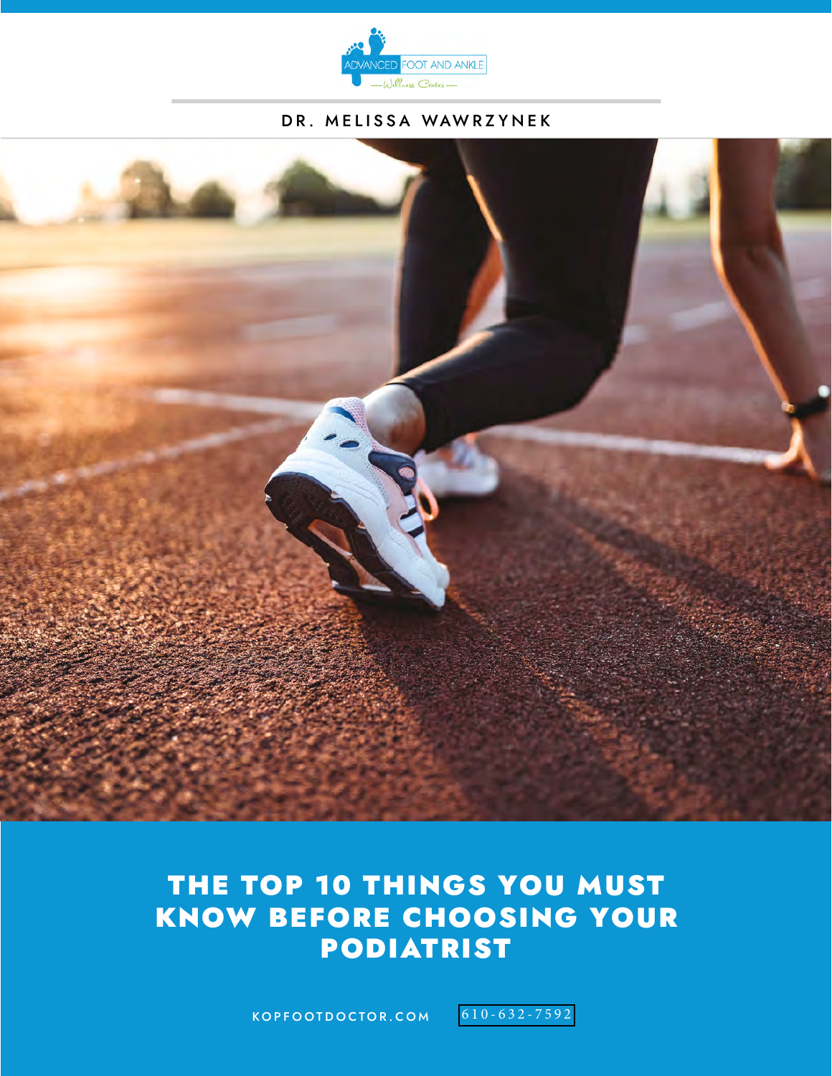

#### DR. MELISSA WAWRZYNEK



# PODIATRIST THE TOP 10 THINGS YOU MUST KNOW BEFORE CHOOSING YOUR

KOPFOOTDOCTOR.COM 610[-632-7592](tel:+16106327592)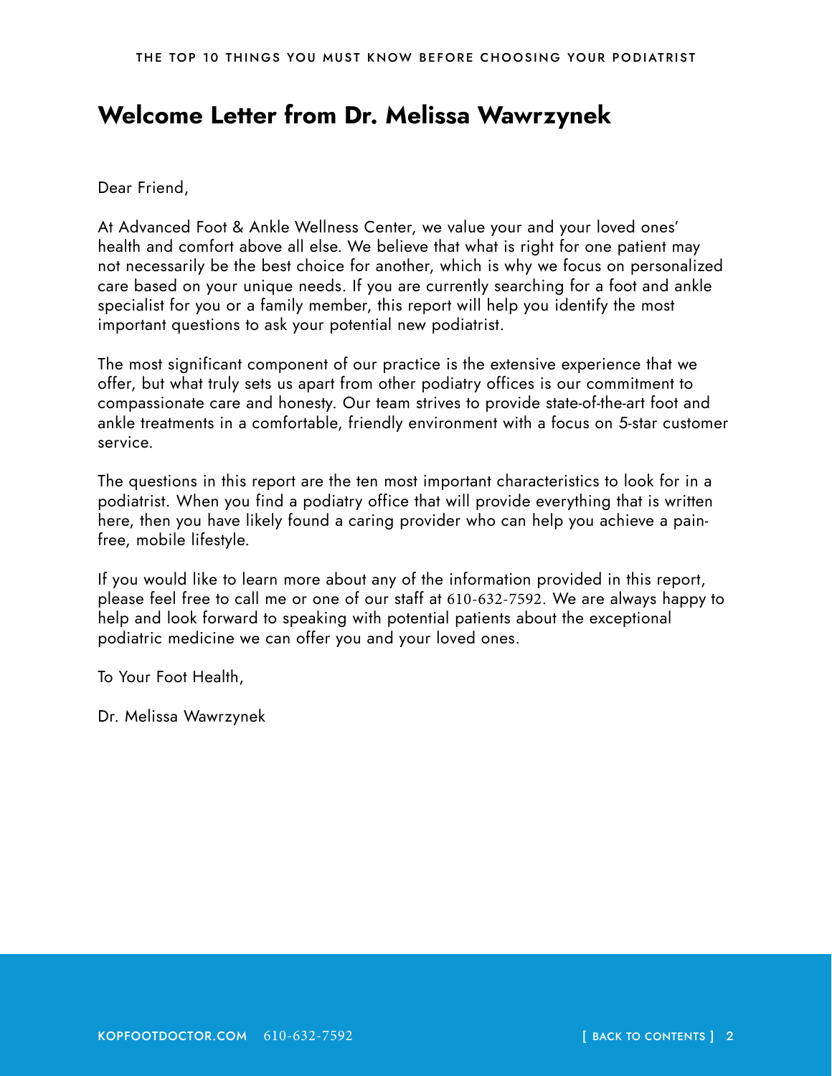## <span id="page-1-0"></span>**Welcome Letter from Dr. Melissa Wawrzynek**

Dear Friend,

At Advanced Foot & Ankle Wellness Center, we value your and your loved ones' health and comfort above all else. We believe that what is right for one patient may not necessarily be the best choice for another, which is why we focus on personalized care based on your unique needs. If you are currently searching for a foot and ankle specialist for you or a family member, this report will help you identify the most important questions to ask your potential new podiatrist.

The most significant component of our practice is the extensive experience that we offer, but what truly sets us apart from other podiatry offices is our commitment to compassionate care and honesty. Our team strives to provide state-of-the-art foot and ankle treatments in a comfortable, friendly environment with a focus on 5-star customer service.

The questions in this report are the ten most important characteristics to look for in a podiatrist. When you find a podiatry office that will provide everything that is written here, then you have likely found a caring provider who can help you achieve a painfree, mobile lifestyle.

If you would like to learn more about any of the information provided in this report, please feel free to call me or one of our staff at 610-632-7592. We are always happy to help and look forward to speaking with potential patients about the exceptional podiatric medicine we can offer you and your loved ones.

To Your Foot Health,

Dr. Melissa Wawrzynek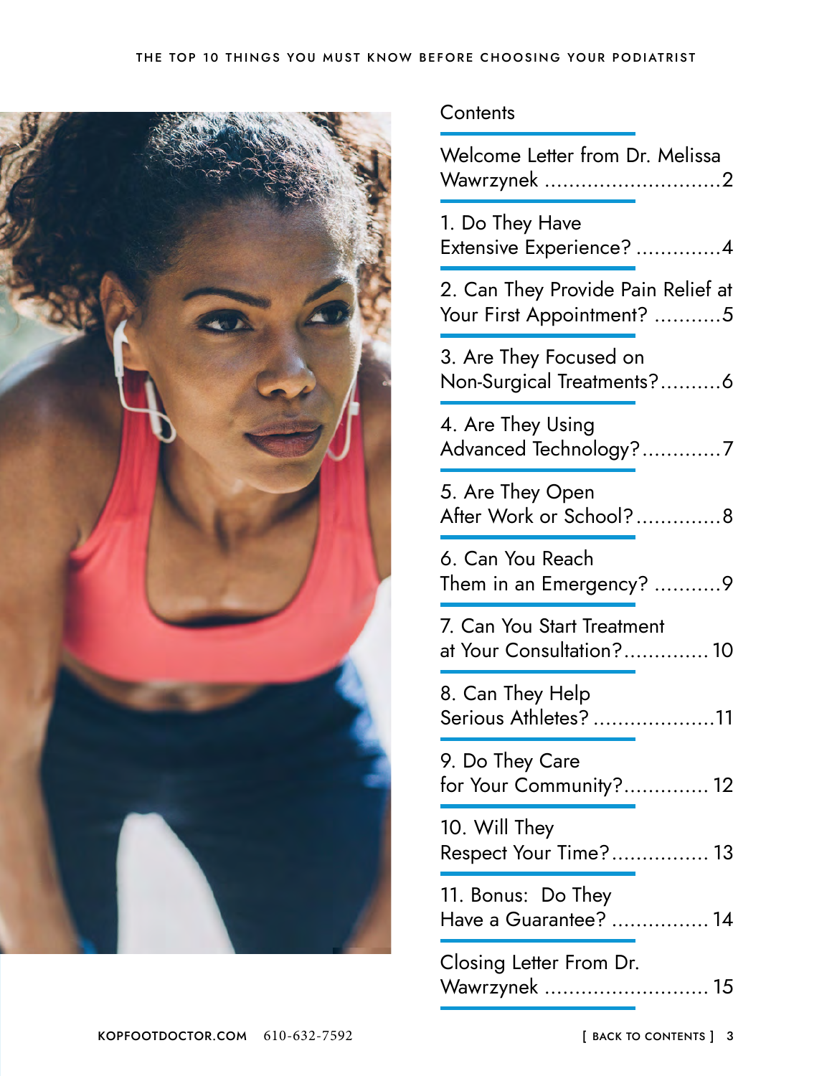<span id="page-2-0"></span>

#### **Contents**

| Welcome Letter from Dr. Melissa<br>Wawrzynek 2                  |
|-----------------------------------------------------------------|
| 1. Do They Have<br>Extensive Experience? 4                      |
| 2. Can They Provide Pain Relief at<br>Your First Appointment? 5 |
| 3. Are They Focused on<br>Non-Surgical Treatments?6             |
| 4. Are They Using<br>Advanced Technology?7                      |
| 5. Are They Open<br>After Work or School?8                      |
| 6. Can You Reach<br>Them in an Emergency? 9                     |
| 7. Can You Start Treatment<br>at Your Consultation? 10          |
| 8. Can They Help<br>Serious Athletes? 11                        |
| 9. Do They Care<br>for Your Community? 12                       |
| 10. Will They<br>Respect Your Time? 13                          |
| 11. Bonus: Do They<br>Have a Guarantee?  14                     |
| Closing Letter From Dr.<br>Wawrzynek  15                        |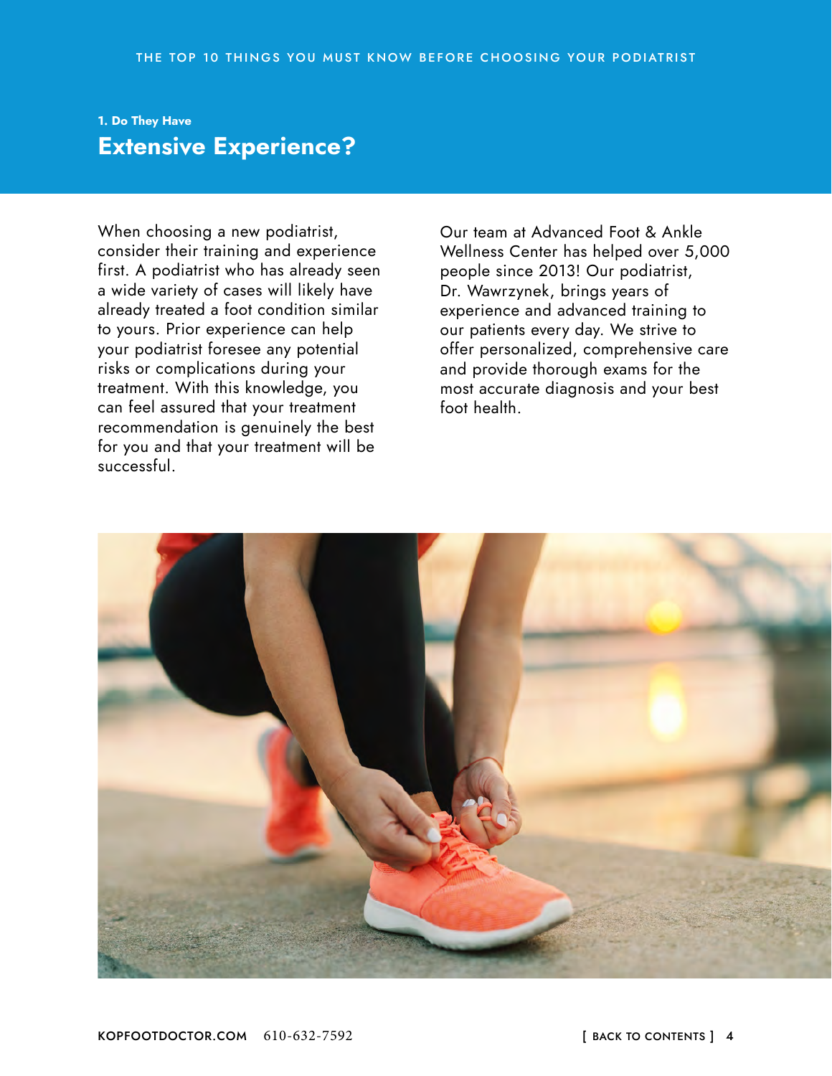#### <span id="page-3-0"></span>**1. Do They Have Extensive Experience?**

When choosing a new podiatrist, consider their training and experience first. A podiatrist who has already seen a wide variety of cases will likely have already treated a foot condition similar to yours. Prior experience can help your podiatrist foresee any potential risks or complications during your treatment. With this knowledge, you can feel assured that your treatment recommendation is genuinely the best for you and that your treatment will be successful.

Our team at Advanced Foot & Ankle Wellness Center has helped over 5,000 people since 2013! Our podiatrist, Dr. Wawrzynek, brings years of experience and advanced training to our patients every day. We strive to offer personalized, comprehensive care and provide thorough exams for the most accurate diagnosis and your best foot health.

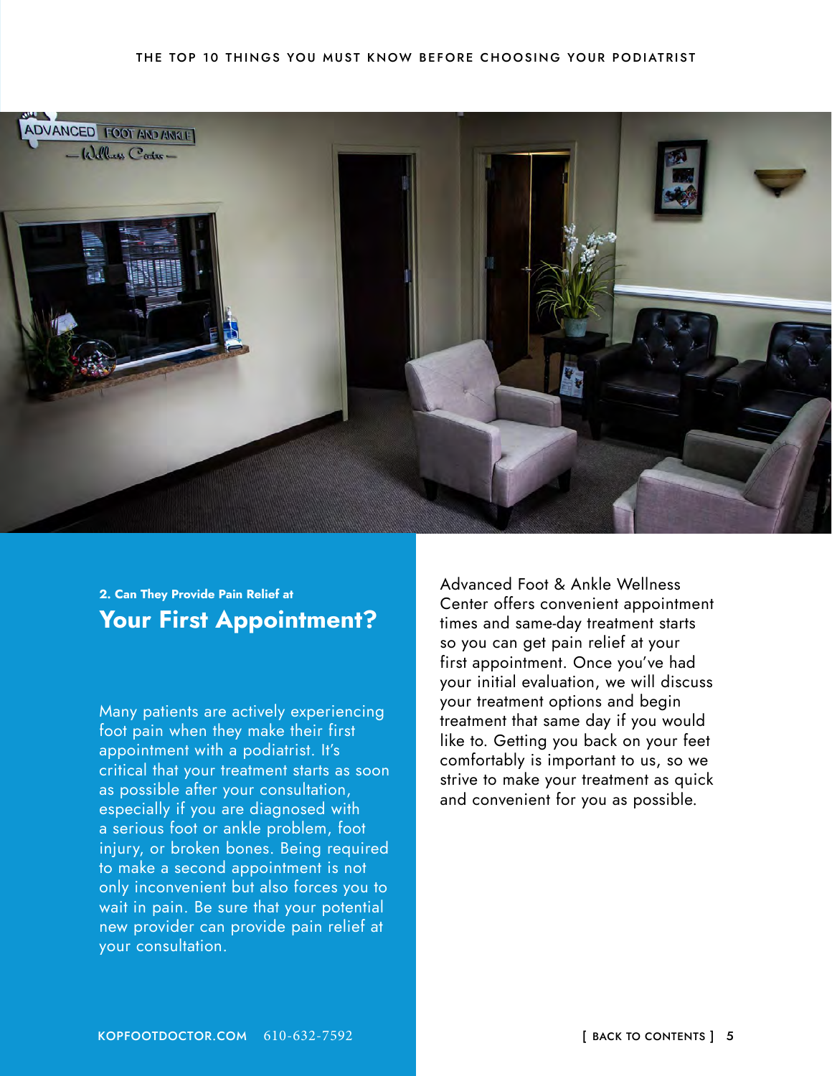<span id="page-4-0"></span>

#### **2. Can They Provide Pain Relief at Your First Appointment?**

Many patients are actively experiencing foot pain when they make their first appointment with a podiatrist. It's critical that your treatment starts as soon as possible after your consultation, especially if you are diagnosed with a serious foot or ankle problem, foot injury, or broken bones. Being required to make a second appointment is not only inconvenient but also forces you to wait in pain. Be sure that your potential new provider can provide pain relief at your consultation.

Advanced Foot & Ankle Wellness Center offers convenient appointment times and same-day treatment starts so you can get pain relief at your first appointment. Once you've had your initial evaluation, we will discuss your treatment options and begin treatment that same day if you would like to. Getting you back on your feet comfortably is important to us, so we strive to make your treatment as quick and convenient for you as possible.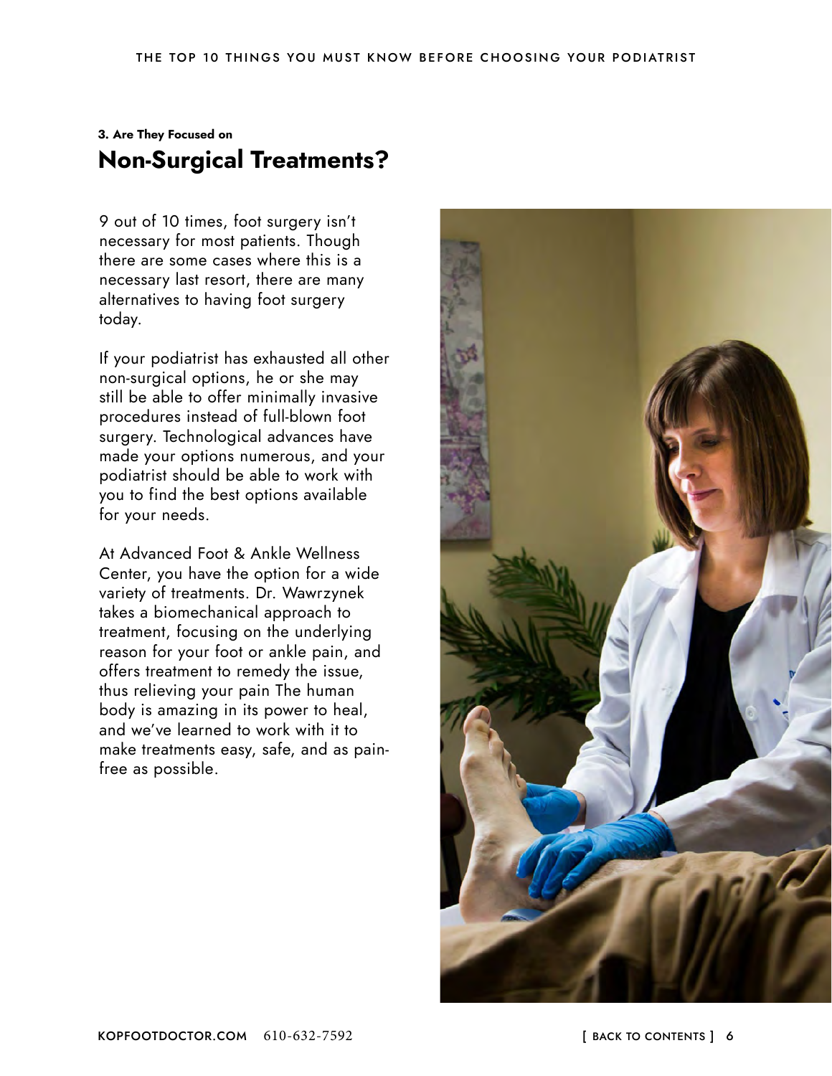### <span id="page-5-0"></span>**3. Are They Focused on Non-Surgical Treatments?**

9 out of 10 times, foot surgery isn't necessary for most patients. Though there are some cases where this is a necessary last resort, there are many alternatives to having foot surgery today.

If your podiatrist has exhausted all other non-surgical options, he or she may still be able to offer minimally invasive procedures instead of full-blown foot surgery. Technological advances have made your options numerous, and your podiatrist should be able to work with you to find the best options available for your needs.

At Advanced Foot & Ankle Wellness Center, you have the option for a wide variety of treatments. Dr. Wawrzynek takes a biomechanical approach to treatment, focusing on the underlying reason for your foot or ankle pain, and offers treatment to remedy the issue, thus relieving your pain The human body is amazing in its power to heal, and we've learned to work with it to make treatments easy, safe, and as painfree as possible.

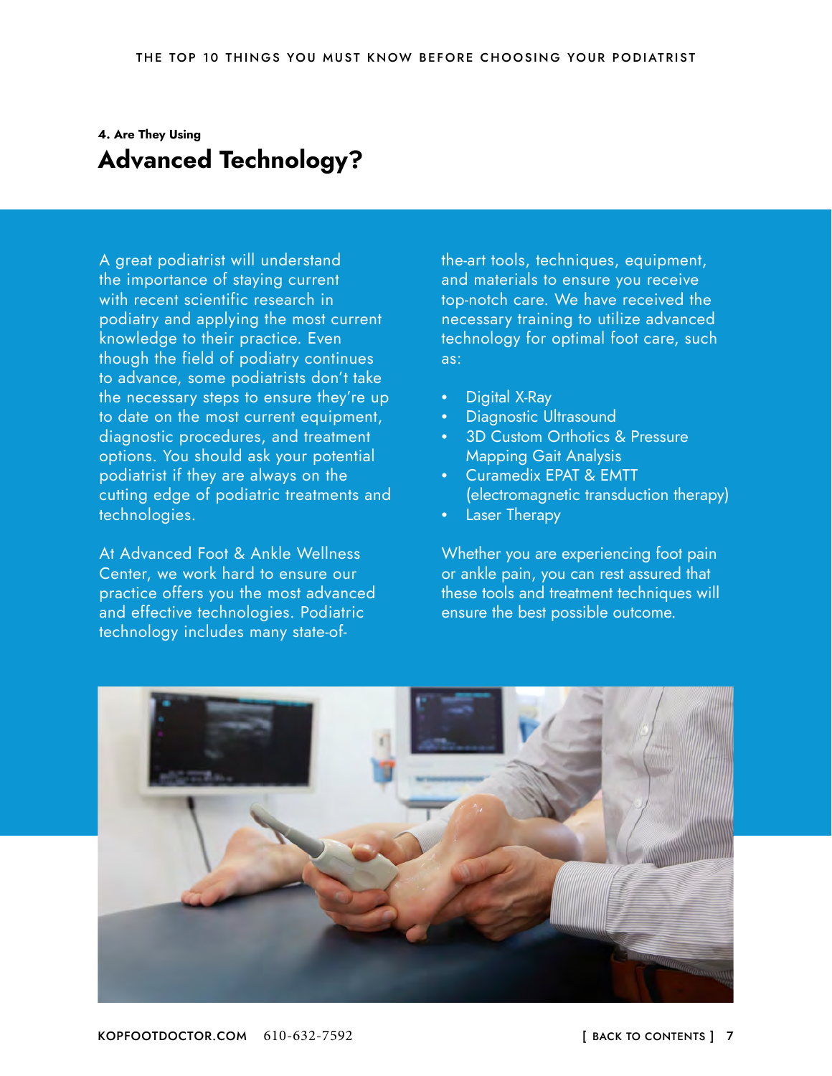### <span id="page-6-0"></span>**4. Are They Using Advanced Technology?**

A great podiatrist will understand the importance of staying current with recent scientific research in podiatry and applying the most current knowledge to their practice. Even though the field of podiatry continues to advance, some podiatrists don't take the necessary steps to ensure they're up to date on the most current equipment, diagnostic procedures, and treatment options. You should ask your potential podiatrist if they are always on the cutting edge of podiatric treatments and technologies.

At Advanced Foot & Ankle Wellness Center, we work hard to ensure our practice offers you the most advanced and effective technologies. Podiatric technology includes many state-ofthe-art tools, techniques, equipment, and materials to ensure you receive top-notch care. We have received the necessary training to utilize advanced technology for optimal foot care, such as:

- Digital X-Ray
- Diagnostic Ultrasound
- 3D Custom Orthotics & Pressure Mapping Gait Analysis
- Curamedix EPAT & EMTT (electromagnetic transduction therapy)
- Laser Therapy

Whether you are experiencing foot pain or ankle pain, you can rest assured that these tools and treatment techniques will ensure the best possible outcome.

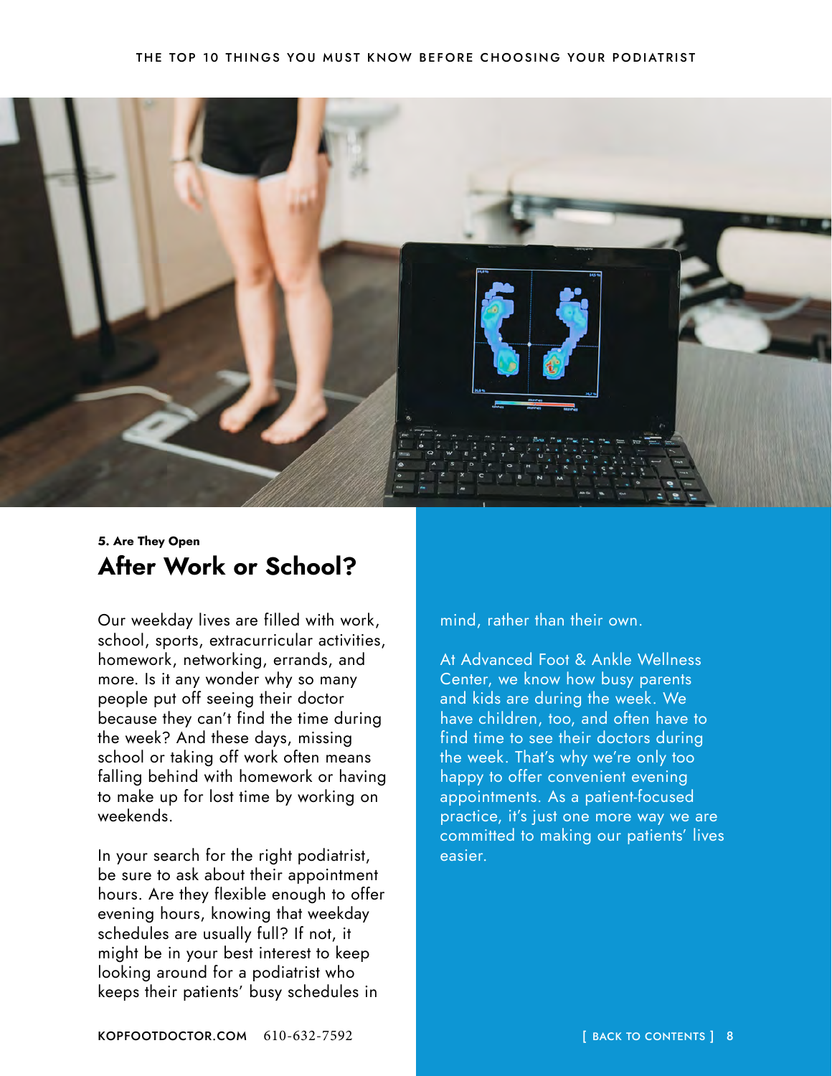<span id="page-7-0"></span>

#### **5. Are They Open After Work or School?**

Our weekday lives are filled with work, school, sports, extracurricular activities, homework, networking, errands, and more. Is it any wonder why so many people put off seeing their doctor because they can't find the time during the week? And these days, missing school or taking off work often means falling behind with homework or having to make up for lost time by working on weekends.

In your search for the right podiatrist, be sure to ask about their appointment hours. Are they flexible enough to offer evening hours, knowing that weekday schedules are usually full? If not, it might be in your best interest to keep looking around for a podiatrist who keeps their patients' busy schedules in

mind, rather than their own.

At Advanced Foot & Ankle Wellness Center, we know how busy parents and kids are during the week. We have children, too, and often have to find time to see their doctors during the week. That's why we're only too happy to offer convenient evening appointments. As a patient-focused practice, it's just one more way we are committed to making our patients' lives easier.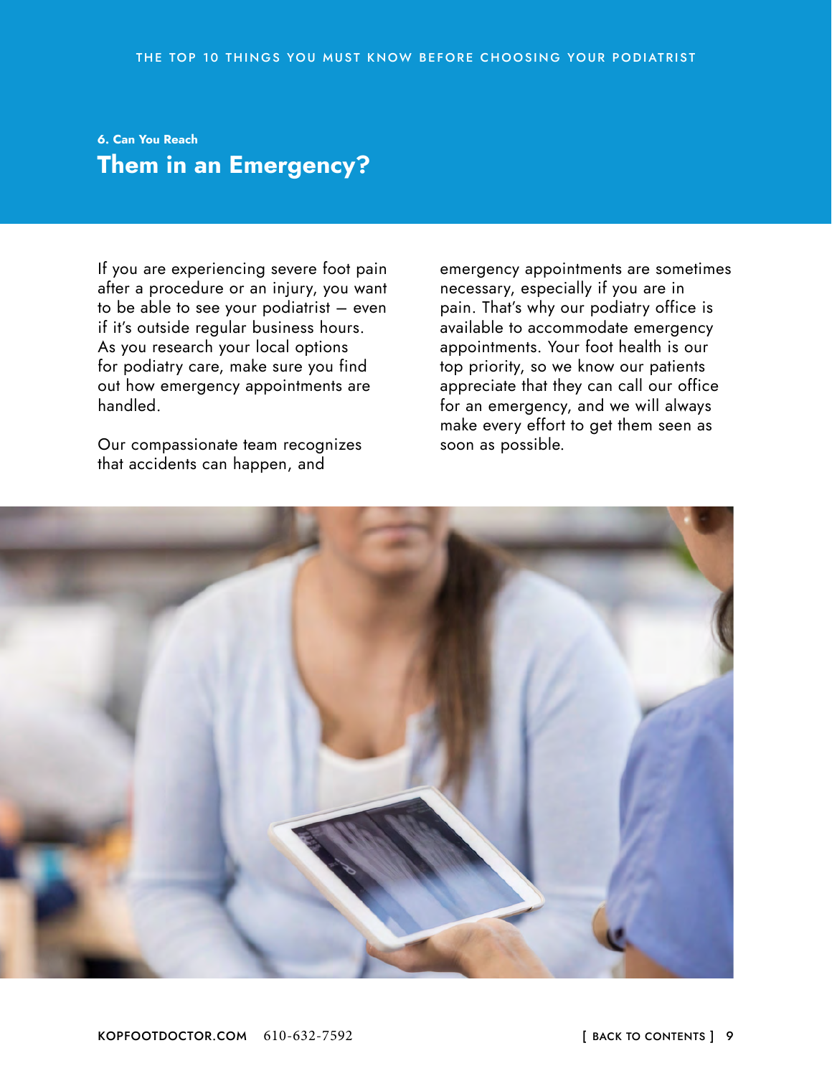### <span id="page-8-0"></span>**6. Can You Reach Them in an Emergency?**

If you are experiencing severe foot pain after a procedure or an injury, you want to be able to see your podiatrist – even if it's outside regular business hours. As you research your local options for podiatry care, make sure you find out how emergency appointments are handled.

Our compassionate team recognizes that accidents can happen, and

emergency appointments are sometimes necessary, especially if you are in pain. That's why our podiatry office is available to accommodate emergency appointments. Your foot health is our top priority, so we know our patients appreciate that they can call our office for an emergency, and we will always make every effort to get them seen as soon as possible.

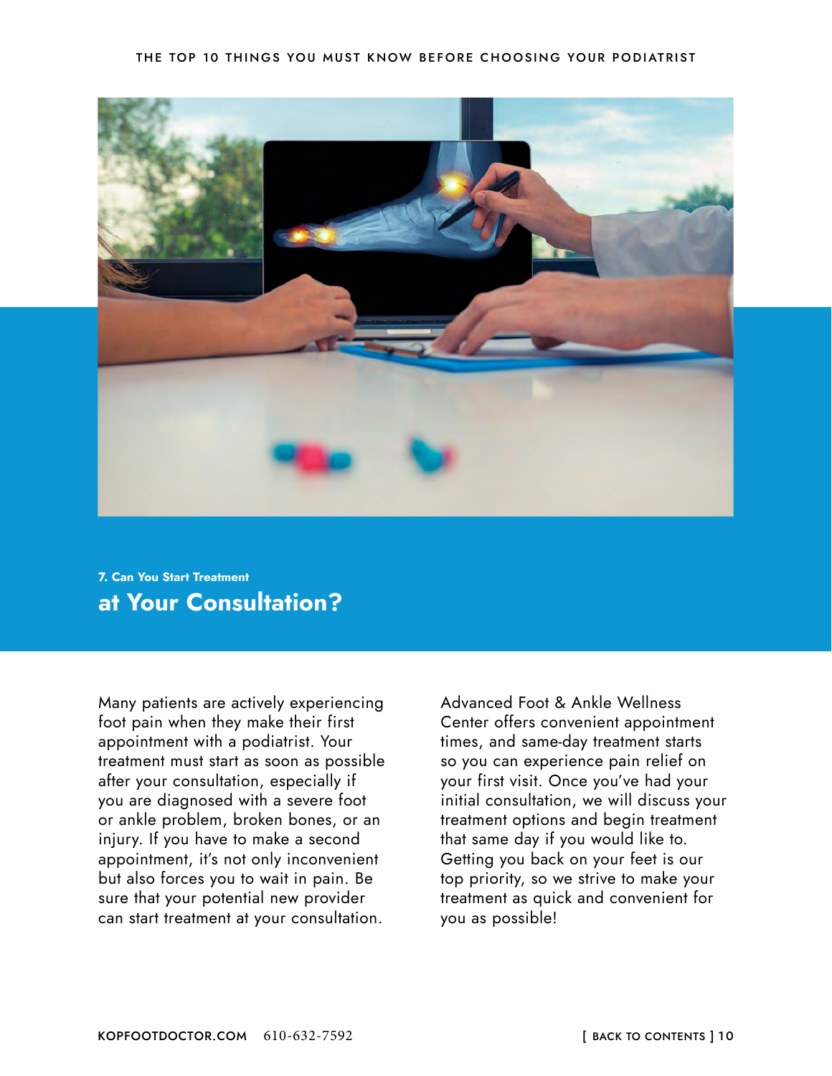#### THE TOP 10 THINGS YOU MUST KNOW BEFORE CHOOSING YOUR PODIATRIST

<span id="page-9-0"></span>

**7. Can You Start Treatment at Your Consultation?**

Many patients are actively experiencing foot pain when they make their first appointment with a podiatrist. Your treatment must start as soon as possible after your consultation, especially if you are diagnosed with a severe foot or ankle problem, broken bones, or an injury. If you have to make a second appointment, it's not only inconvenient but also forces you to wait in pain. Be sure that your potential new provider can start treatment at your consultation.

Advanced Foot & Ankle Wellness Center offers convenient appointment times, and same-day treatment starts so you can experience pain relief on your first visit. Once you've had your initial consultation, we will discuss your treatment options and begin treatment that same day if you would like to. Getting you back on your feet is our top priority, so we strive to make your treatment as quick and convenient for you as possible!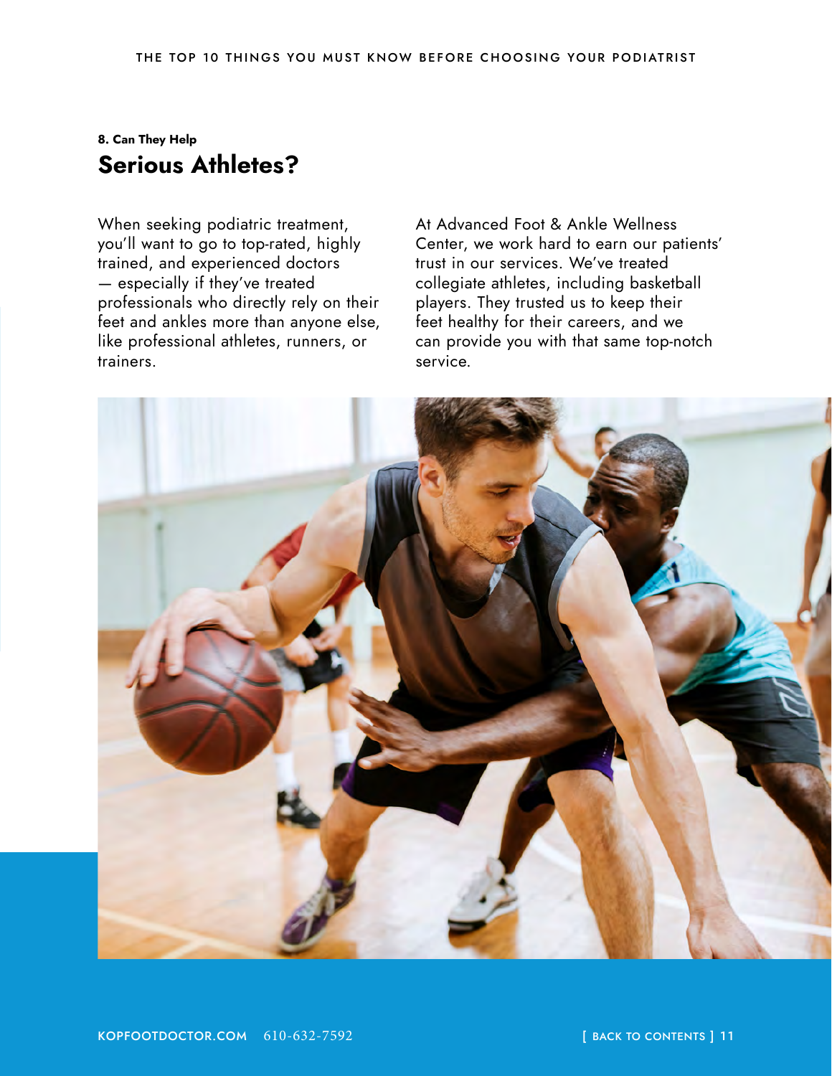#### <span id="page-10-0"></span>**8. Can They Help Serious Athletes?**

When seeking podiatric treatment, you'll want to go to top-rated, highly trained, and experienced doctors — especially if they've treated professionals who directly rely on their feet and ankles more than anyone else, like professional athletes, runners, or trainers.

At Advanced Foot & Ankle Wellness Center, we work hard to earn our patients' trust in our services. We've treated collegiate athletes, including basketball players. They trusted us to keep their feet healthy for their careers, and we can provide you with that same top-notch service.

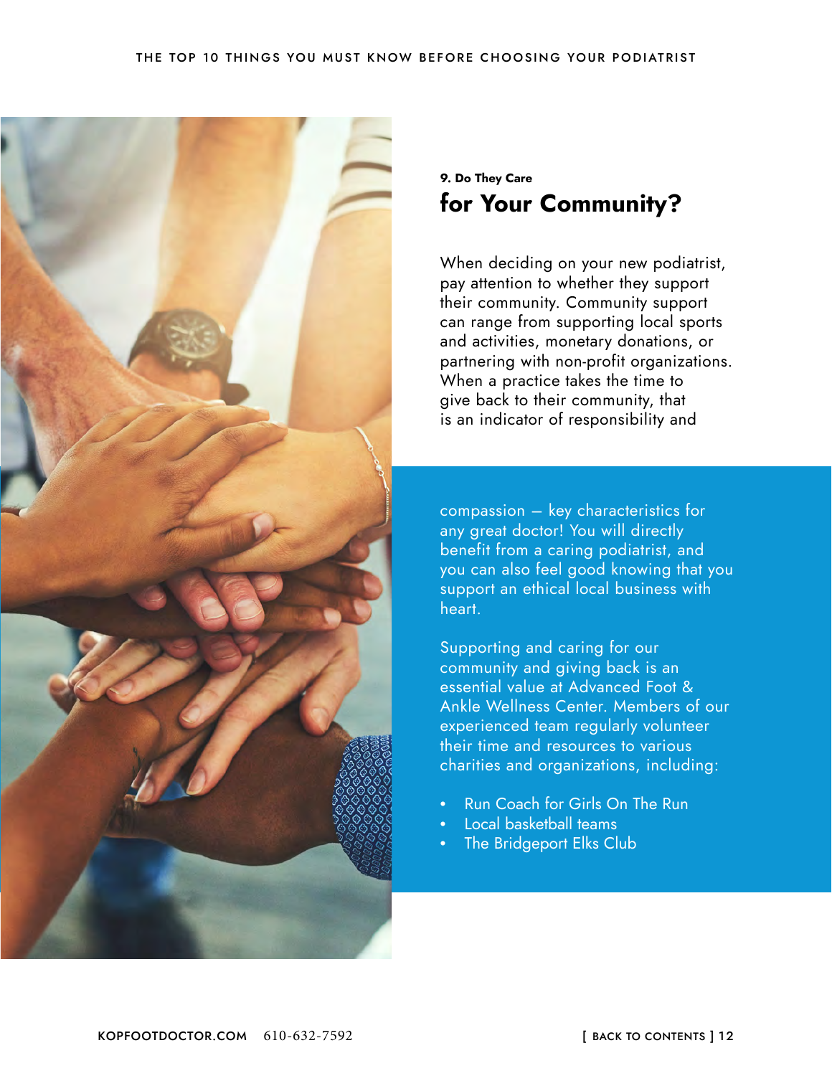<span id="page-11-0"></span>

#### **9. Do They Care for Your Community?**

When deciding on your new podiatrist, pay attention to whether they support their community. Community support can range from supporting local sports and activities, monetary donations, or partnering with non-profit organizations. When a practice takes the time to give back to their community, that is an indicator of responsibility and

compassion – key characteristics for any great doctor! You will directly benefit from a caring podiatrist, and you can also feel good knowing that you support an ethical local business with heart.

Supporting and caring for our community and giving back is an essential value at Advanced Foot & Ankle Wellness Center. Members of our experienced team regularly volunteer their time and resources to various charities and organizations, including:

- Run Coach for Girls On The Run
- Local basketball teams
- The Bridgeport Elks Club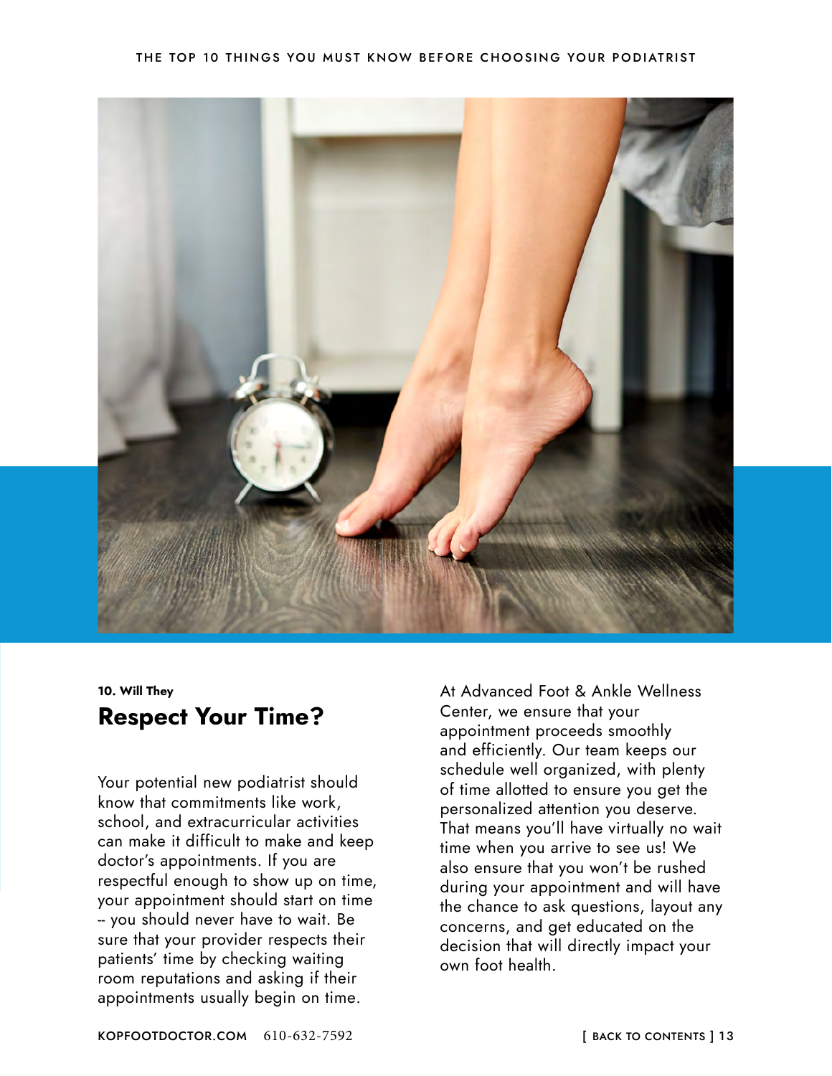#### THE TOP 10 THINGS YOU MUST KNOW BEFORE CHOOSING YOUR PODIATRIST

<span id="page-12-0"></span>

**10. Will They Respect Your Time?**

Your potential new podiatrist should know that commitments like work, school, and extracurricular activities can make it difficult to make and keep doctor's appointments. If you are respectful enough to show up on time, your appointment should start on time -- you should never have to wait. Be sure that your provider respects their patients' time by checking waiting room reputations and asking if their appointments usually begin on time.

At Advanced Foot & Ankle Wellness Center, we ensure that your appointment proceeds smoothly and efficiently. Our team keeps our schedule well organized, with plenty of time allotted to ensure you get the personalized attention you deserve. That means you'll have virtually no wait time when you arrive to see us! We also ensure that you won't be rushed during your appointment and will have the chance to ask questions, layout any concerns, and get educated on the decision that will directly impact your own foot health.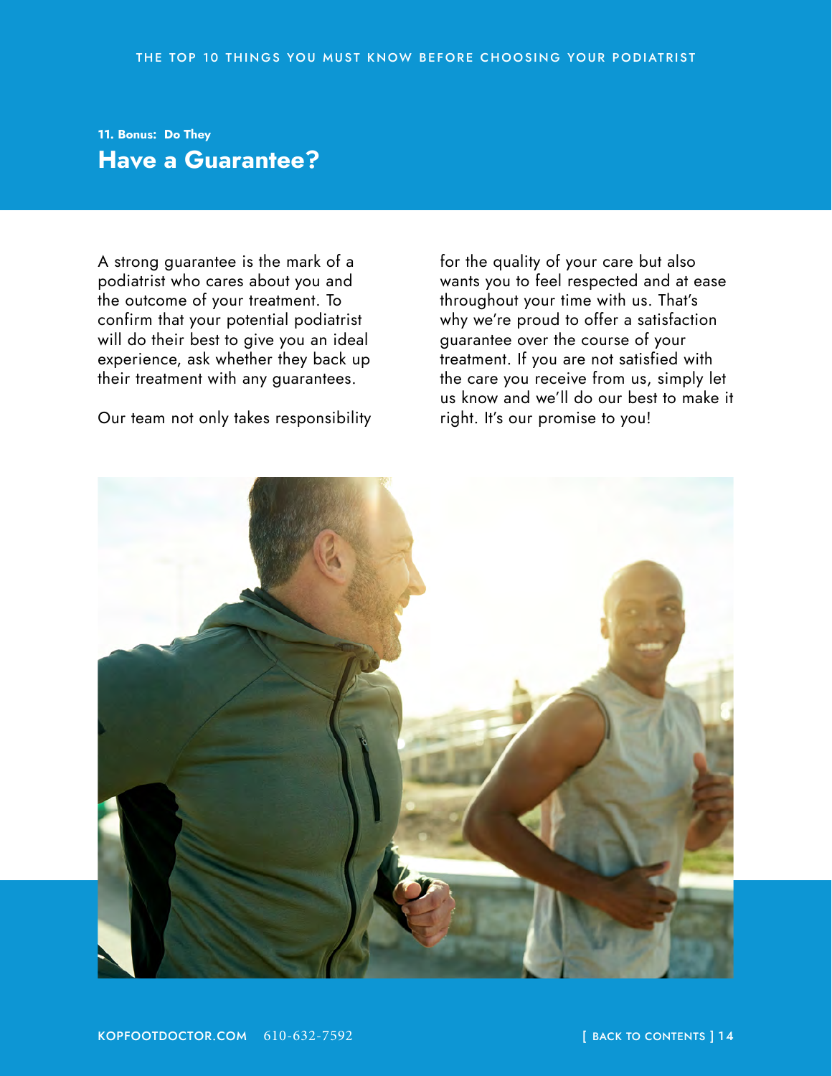#### <span id="page-13-0"></span>**11. Bonus: Do They Have a Guarantee?**

A strong guarantee is the mark of a podiatrist who cares about you and the outcome of your treatment. To confirm that your potential podiatrist will do their best to give you an ideal experience, ask whether they back up their treatment with any guarantees.

Our team not only takes responsibility

for the quality of your care but also wants you to feel respected and at ease throughout your time with us. That's why we're proud to offer a satisfaction guarantee over the course of your treatment. If you are not satisfied with the care you receive from us, simply let us know and we'll do our best to make it right. It's our promise to you!

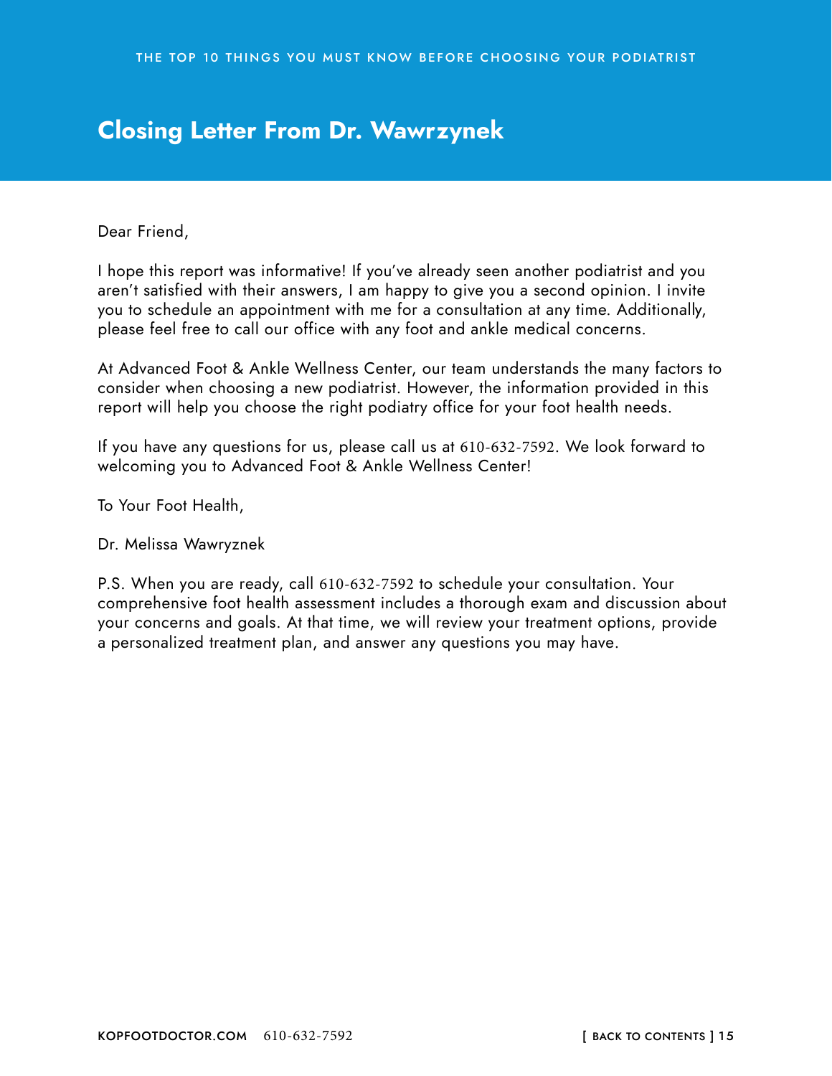## <span id="page-14-0"></span>**Closing Letter From Dr. Wawrzynek**

Dear Friend,

I hope this report was informative! If you've already seen another podiatrist and you aren't satisfied with their answers, I am happy to give you a second opinion. I invite you to schedule an appointment with me for a consultation at any time. Additionally, please feel free to call our office with any foot and ankle medical concerns.

At Advanced Foot & Ankle Wellness Center, our team understands the many factors to consider when choosing a new podiatrist. However, the information provided in this report will help you choose the right podiatry office for your foot health needs.

If you have any questions for us, please call us at 610-632-7592. We look forward to welcoming you to Advanced Foot & Ankle Wellness Center!

To Your Foot Health,

Dr. Melissa Wawryznek

P.S. When you are ready, call 610-632-7592 to schedule your consultation. Your comprehensive foot health assessment includes a thorough exam and discussion about your concerns and goals. At that time, we will review your treatment options, provide a personalized treatment plan, and answer any questions you may have.